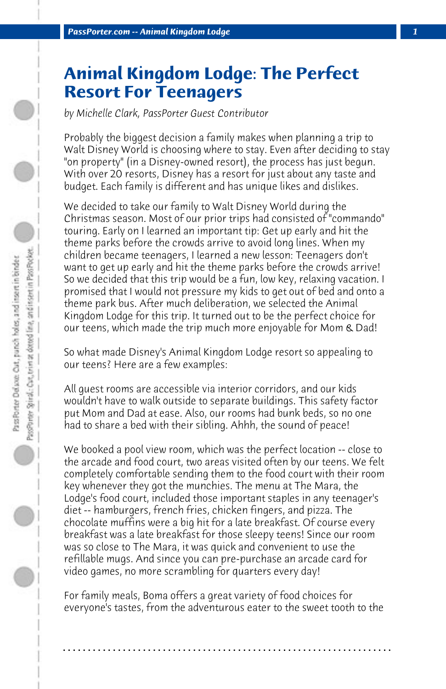## **Animal Kingdom Lodge: The Perfect Resort For Teenagers**

*by Michelle Clark, PassPorter Guest Contributor*

Probably the biggest decision a family makes when planning a trip to Walt Disney World is choosing where to stay. Even after deciding to stay "on property" (in a Disney-owned resort), the process has just begun. With over 20 resorts, Disney has a resort for just about any taste and budget. Each family is different and has unique likes and dislikes.

We decided to take our family to Walt Disney World during the Christmas season. Most of our prior trips had consisted of "commando" touring. Early on I learned an important tip: Get up early and hit the theme parks before the crowds arrive to avoid long lines. When my children became teenagers, I learned a new lesson: Teenagers don't want to get up early and hit the theme parks before the crowds arrive! So we decided that this trip would be a fun, low key, relaxing vacation. I promised that I would not pressure my kids to get out of bed and onto a theme park bus. After much deliberation, we selected the Animal Kingdom Lodge for this trip. It turned out to be the perfect choice for our teens, which made the trip much more enjoyable for Mom & Dad!

So what made Disney's Animal Kingdom Lodge resort so appealing to our teens? Here are a few examples:

All guest rooms are accessible via interior corridors, and our kids wouldn't have to walk outside to separate buildings. This safety factor put Mom and Dad at ease. Also, our rooms had bunk beds, so no one had to share a bed with their sibling. Ahhh, the sound of peace!

We booked a pool view room, which was the perfect location -- close to the arcade and food court, two areas visited often by our teens. We felt completely comfortable sending them to the food court with their room key whenever they got the munchies. The menu at The Mara, the Lodge's food court, included those important staples in any teenager's diet -- hamburgers, french fries, chicken fingers, and pizza. The chocolate muffins were a big hit for a late breakfast. Of course every breakfast was a late breakfast for those sleepy teens! Since our room was so close to The Mara, it was quick and convenient to use the refillable mugs. And since you can pre-purchase an arcade card for video games, no more scrambling for quarters every day!

For family meals, Boma offers a great variety of food choices for everyone's tastes, from the adventurous eater to the sweet tooth to the

**. . . . . . . . . . . . . . . . . . . . . . . . . . . . . . . . . . . . . . . . . . . . . . . . . . . . . . . . . . . . . . . . . .**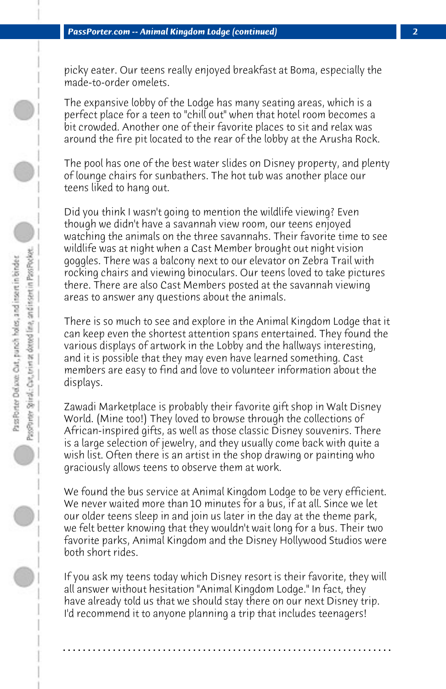picky eater. Our teens really enjoyed breakfast at Boma, especially the made-to-order omelets.

The expansive lobby of the Lodge has many seating areas, which is a perfect place for a teen to "chill out" when that hotel room becomes a bit crowded. Another one of their favorite places to sit and relax was around the fire pit located to the rear of the lobby at the Arusha Rock.

The pool has one of the best water slides on Disney property, and plenty of lounge chairs for sunbathers. The hot tub was another place our teens liked to hang out.

Did you think I wasn't going to mention the wildlife viewing? Even though we didn't have a savannah view room, our teens enjoyed watching the animals on the three savannahs. Their favorite time to see wildlife was at night when a Cast Member brought out night vision goggles. There was a balcony next to our elevator on Zebra Trail with rocking chairs and viewing binoculars. Our teens loved to take pictures there. There are also Cast Members posted at the savannah viewing areas to answer any questions about the animals.

There is so much to see and explore in the Animal Kingdom Lodge that it can keep even the shortest attention spans entertained. They found the various displays of artwork in the Lobby and the hallways interesting, and it is possible that they may even have learned something. Cast members are easy to find and love to volunteer information about the displays.

Zawadi Marketplace is probably their favorite gift shop in Walt Disney World. (Mine too!) They loved to browse through the collections of African-inspired gifts, as well as those classic Disney souvenirs. There is a large selection of jewelry, and they usually come back with quite a wish list. Often there is an artist in the shop drawing or painting who graciously allows teens to observe them at work.

We found the bus service at Animal Kingdom Lodge to be very efficient. We never waited more than 10 minutes for a bus, if at all. Since we let our older teens sleep in and join us later in the day at the theme park, we felt better knowing that they wouldn't wait long for a bus. Their two favorite parks, Animal Kingdom and the Disney Hollywood Studios were both short rides.

If you ask my teens today which Disney resort is their favorite, they will all answer without hesitation "Animal Kingdom Lodge." In fact, they have already told us that we should stay there on our next Disney trip. I'd recommend it to anyone planning a trip that includes teenagers!

**. . . . . . . . . . . . . . . . . . . . . . . . . . . . . . . . . . . . . . . . . . . . . . . . . . . . . . . . . . . . . . . . . .**